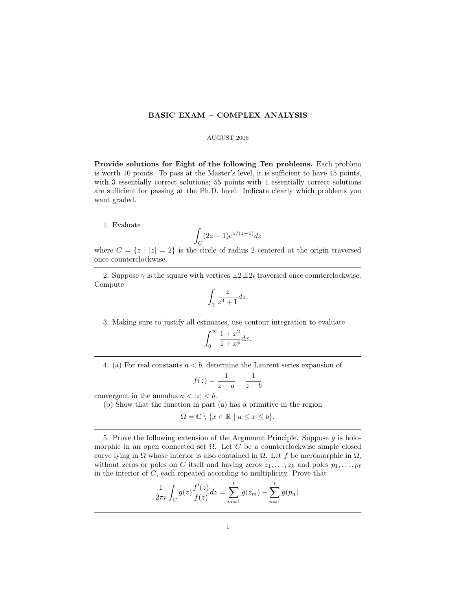## BASIC EXAM – COMPLEX ANALYSIS

## AUGUST 2006

Provide solutions for Eight of the following Ten problems. Each problem is worth 10 points. To pass at the Master's level, it is sufficient to have 45 points, with 3 essentially correct solutions; 55 points with 4 essentially correct solutions are sufficient for passing at the Ph.D. level. Indicate clearly which problems you want graded.

1. Evaluate

$$
\int_C (2z-1)e^{z/(z-1)}dz
$$

where  $C = \{z \mid |z| = 2\}$  is the circle of radius 2 centered at the origin traversed once counterclockwise.

2. Suppose  $\gamma$  is the square with vertices  $\pm 2 \pm 2i$  traversed once counterclockwise. Compute

$$
\int_{\gamma} \frac{z}{z^3 + 1} dz.
$$

3. Making sure to justify all estimates, use contour integration to evaluate

$$
\int_0^\infty \frac{1+x^2}{1+x^4} dx.
$$

4. (a) For real constants  $a < b$ , determine the Laurent series expansion of

$$
f(z) = \frac{1}{z-a} - \frac{1}{z-b}
$$

convergent in the annulus  $a < |z| < b$ .

(b) Show that the function in part (a) has a primitive in the region

$$
\Omega = \mathbb{C} \setminus \{x \in \mathbb{R} \mid a \le x \le b\}.
$$

5. Prove the following extension of the Argument Principle. Suppose  $g$  is holomorphic in an open connected set  $\Omega$ . Let C be a counterclockwise simple closed curve lying in  $\Omega$  whose interior is also contained in  $\Omega$ . Let f be meromorphic in  $\Omega$ , without zeros or poles on C itself and having zeros  $z_1, \ldots, z_k$  and poles  $p_1, \ldots, p_\ell$ in the interior of  $C$ , each repeated according to multiplicity. Prove that

$$
\frac{1}{2\pi i} \int_C g(z) \frac{f'(z)}{f(z)} dz = \sum_{m=1}^k g(z_m) - \sum_{n=1}^\ell g(p_n).
$$